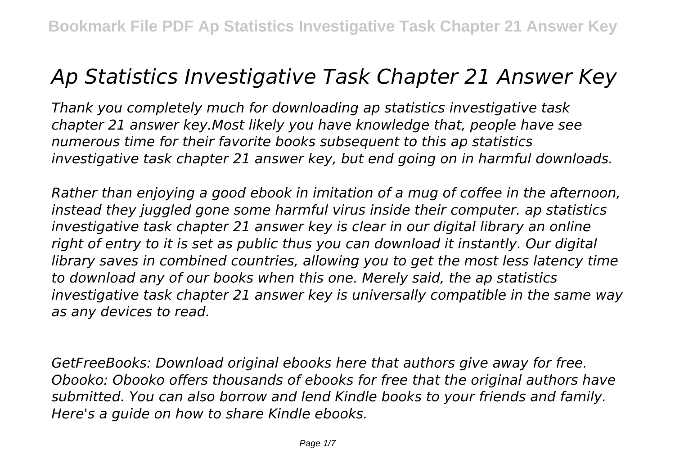## *Ap Statistics Investigative Task Chapter 21 Answer Key*

*Thank you completely much for downloading ap statistics investigative task chapter 21 answer key.Most likely you have knowledge that, people have see numerous time for their favorite books subsequent to this ap statistics investigative task chapter 21 answer key, but end going on in harmful downloads.*

*Rather than enjoying a good ebook in imitation of a mug of coffee in the afternoon, instead they juggled gone some harmful virus inside their computer. ap statistics investigative task chapter 21 answer key is clear in our digital library an online right of entry to it is set as public thus you can download it instantly. Our digital library saves in combined countries, allowing you to get the most less latency time to download any of our books when this one. Merely said, the ap statistics investigative task chapter 21 answer key is universally compatible in the same way as any devices to read.*

*GetFreeBooks: Download original ebooks here that authors give away for free. Obooko: Obooko offers thousands of ebooks for free that the original authors have submitted. You can also borrow and lend Kindle books to your friends and family. Here's a guide on how to share Kindle ebooks.*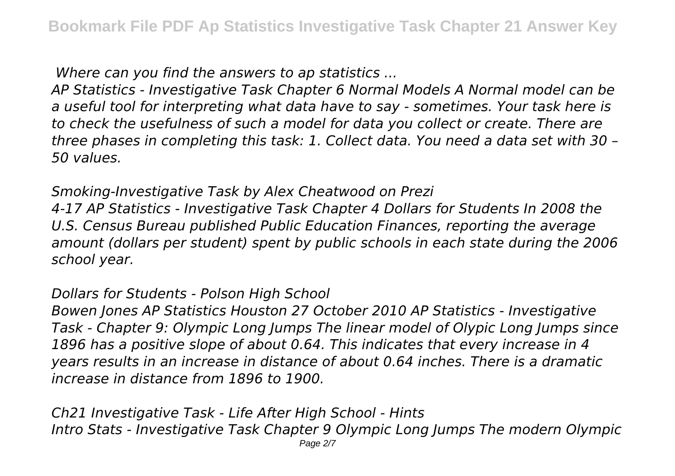*Where can you find the answers to ap statistics ...*

*AP Statistics - Investigative Task Chapter 6 Normal Models A Normal model can be a useful tool for interpreting what data have to say - sometimes. Your task here is to check the usefulness of such a model for data you collect or create. There are three phases in completing this task: 1. Collect data. You need a data set with 30 – 50 values.*

*Smoking-Investigative Task by Alex Cheatwood on Prezi*

*4-17 AP Statistics - Investigative Task Chapter 4 Dollars for Students In 2008 the U.S. Census Bureau published Public Education Finances, reporting the average amount (dollars per student) spent by public schools in each state during the 2006 school year.*

## *Dollars for Students - Polson High School*

*Bowen Jones AP Statistics Houston 27 October 2010 AP Statistics - Investigative Task - Chapter 9: Olympic Long Jumps The linear model of Olypic Long Jumps since 1896 has a positive slope of about 0.64. This indicates that every increase in 4 years results in an increase in distance of about 0.64 inches. There is a dramatic increase in distance from 1896 to 1900.*

*Ch21 Investigative Task - Life After High School - Hints Intro Stats - Investigative Task Chapter 9 Olympic Long Jumps The modern Olympic* Page 2/7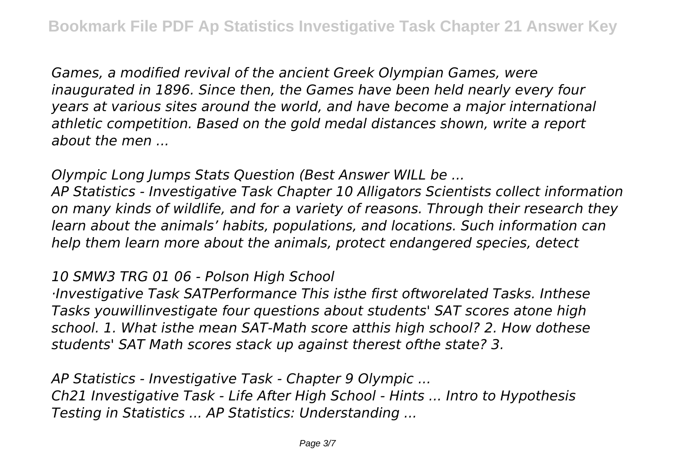*Games, a modified revival of the ancient Greek Olympian Games, were inaugurated in 1896. Since then, the Games have been held nearly every four years at various sites around the world, and have become a major international athletic competition. Based on the gold medal distances shown, write a report about the men ...*

*Olympic Long Jumps Stats Question (Best Answer WILL be ...*

*AP Statistics - Investigative Task Chapter 10 Alligators Scientists collect information on many kinds of wildlife, and for a variety of reasons. Through their research they learn about the animals' habits, populations, and locations. Such information can help them learn more about the animals, protect endangered species, detect*

*10 SMW3 TRG 01 06 - Polson High School*

*·Investigative Task SATPerformance This isthe first oftworelated Tasks. Inthese Tasks youwillinvestigate four questions about students' SAT scores atone high school. 1. What isthe mean SAT-Math score atthis high school? 2. How dothese students' SAT Math scores stack up against therest ofthe state? 3.*

*AP Statistics - Investigative Task - Chapter 9 Olympic ... Ch21 Investigative Task - Life After High School - Hints ... Intro to Hypothesis Testing in Statistics ... AP Statistics: Understanding ...*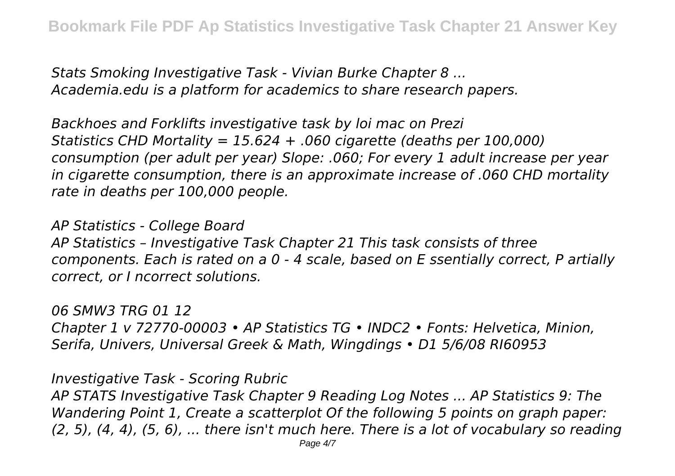*Stats Smoking Investigative Task - Vivian Burke Chapter 8 ... Academia.edu is a platform for academics to share research papers.*

*Backhoes and Forklifts investigative task by loi mac on Prezi Statistics CHD Mortality = 15.624 + .060 cigarette (deaths per 100,000) consumption (per adult per year) Slope: .060; For every 1 adult increase per year in cigarette consumption, there is an approximate increase of .060 CHD mortality rate in deaths per 100,000 people.*

*AP Statistics - College Board AP Statistics – Investigative Task Chapter 21 This task consists of three components. Each is rated on a 0 - 4 scale, based on E ssentially correct, P artially correct, or I ncorrect solutions.*

*06 SMW3 TRG 01 12 Chapter 1 v 72770-00003 • AP Statistics TG • INDC2 • Fonts: Helvetica, Minion, Serifa, Univers, Universal Greek & Math, Wingdings • D1 5/6/08 RI60953*

*Investigative Task - Scoring Rubric*

*AP STATS Investigative Task Chapter 9 Reading Log Notes ... AP Statistics 9: The Wandering Point 1, Create a scatterplot Of the following 5 points on graph paper: (2, 5), (4, 4), (5, 6), ... there isn't much here. There is a lot of vocabulary so reading*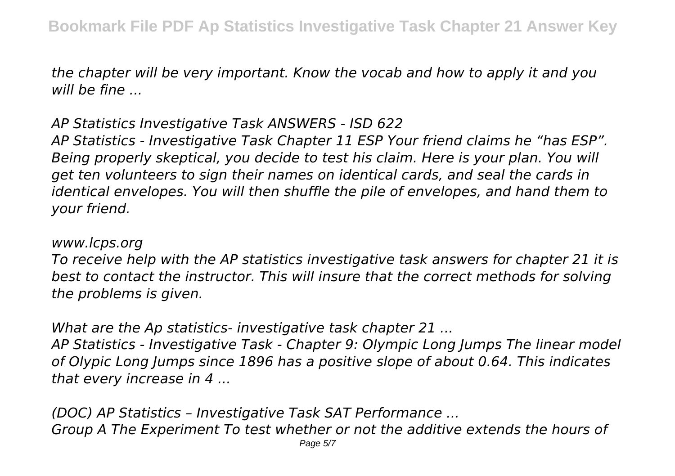*the chapter will be very important. Know the vocab and how to apply it and you will be fine ...*

*AP Statistics Investigative Task ANSWERS - ISD 622 AP Statistics - Investigative Task Chapter 11 ESP Your friend claims he "has ESP". Being properly skeptical, you decide to test his claim. Here is your plan. You will get ten volunteers to sign their names on identical cards, and seal the cards in identical envelopes. You will then shuffle the pile of envelopes, and hand them to*

*your friend.*

*www.lcps.org*

*To receive help with the AP statistics investigative task answers for chapter 21 it is best to contact the instructor. This will insure that the correct methods for solving the problems is given.*

*What are the Ap statistics- investigative task chapter 21 ...*

*AP Statistics - Investigative Task - Chapter 9: Olympic Long Jumps The linear model of Olypic Long Jumps since 1896 has a positive slope of about 0.64. This indicates that every increase in 4 ...*

*(DOC) AP Statistics – Investigative Task SAT Performance ... Group A The Experiment To test whether or not the additive extends the hours of* Page 5/7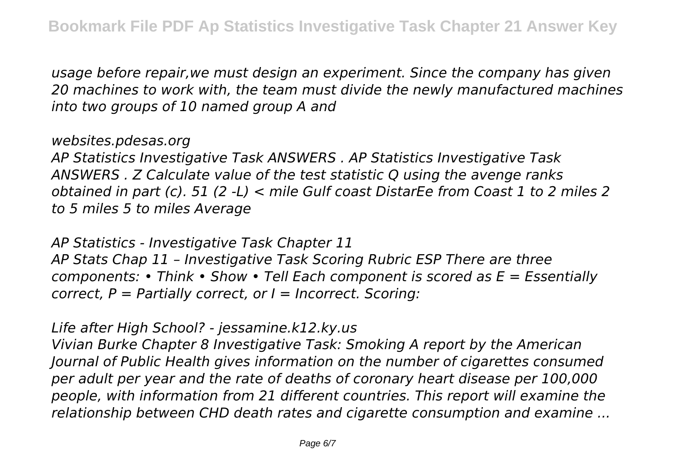*usage before repair,we must design an experiment. Since the company has given 20 machines to work with, the team must divide the newly manufactured machines into two groups of 10 named group A and*

*websites.pdesas.org*

*AP Statistics Investigative Task ANSWERS . AP Statistics Investigative Task ANSWERS . Z Calculate value of the test statistic Q using the avenge ranks obtained in part (c). 51 (2 -L) < mile Gulf coast DistarEe from Coast 1 to 2 miles 2 to 5 miles 5 to miles Average*

*AP Statistics - Investigative Task Chapter 11 AP Stats Chap 11 – Investigative Task Scoring Rubric ESP There are three components: • Think • Show • Tell Each component is scored as E = Essentially correct, P = Partially correct, or I = Incorrect. Scoring:*

## *Life after High School? - jessamine.k12.ky.us*

*Vivian Burke Chapter 8 Investigative Task: Smoking A report by the American Journal of Public Health gives information on the number of cigarettes consumed per adult per year and the rate of deaths of coronary heart disease per 100,000 people, with information from 21 different countries. This report will examine the relationship between CHD death rates and cigarette consumption and examine ...*